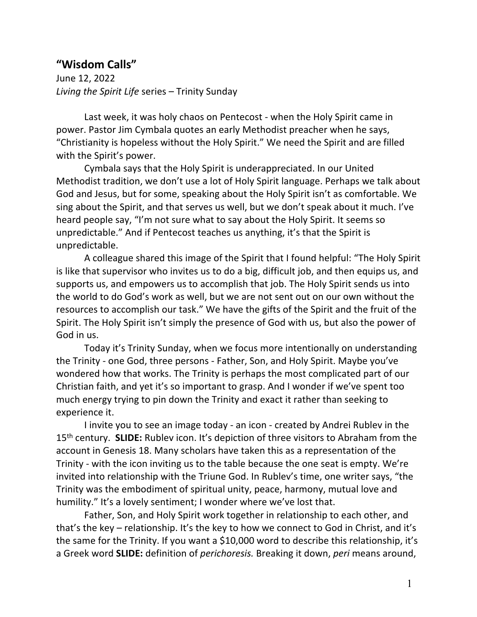## **"Wisdom Calls"**

June 12, 2022 *Living the Spirit Life* series – Trinity Sunday

Last week, it was holy chaos on Pentecost - when the Holy Spirit came in power. Pastor Jim Cymbala quotes an early Methodist preacher when he says, "Christianity is hopeless without the Holy Spirit." We need the Spirit and are filled with the Spirit's power.

Cymbala says that the Holy Spirit is underappreciated. In our United Methodist tradition, we don't use a lot of Holy Spirit language. Perhaps we talk about God and Jesus, but for some, speaking about the Holy Spirit isn't as comfortable. We sing about the Spirit, and that serves us well, but we don't speak about it much. I've heard people say, "I'm not sure what to say about the Holy Spirit. It seems so unpredictable." And if Pentecost teaches us anything, it's that the Spirit is unpredictable.

A colleague shared this image of the Spirit that I found helpful: "The Holy Spirit is like that supervisor who invites us to do a big, difficult job, and then equips us, and supports us, and empowers us to accomplish that job. The Holy Spirit sends us into the world to do God's work as well, but we are not sent out on our own without the resources to accomplish our task." We have the gifts of the Spirit and the fruit of the Spirit. The Holy Spirit isn't simply the presence of God with us, but also the power of God in us.

Today it's Trinity Sunday, when we focus more intentionally on understanding the Trinity - one God, three persons - Father, Son, and Holy Spirit. Maybe you've wondered how that works. The Trinity is perhaps the most complicated part of our Christian faith, and yet it's so important to grasp. And I wonder if we've spent too much energy trying to pin down the Trinity and exact it rather than seeking to experience it.

I invite you to see an image today - an icon - created by Andrei Rublev in the 15th century. **SLIDE:** Rublev icon. It's depiction of three visitors to Abraham from the account in Genesis 18. Many scholars have taken this as a representation of the Trinity - with the icon inviting us to the table because the one seat is empty. We're invited into relationship with the Triune God. In Rublev's time, one writer says, "the Trinity was the embodiment of spiritual unity, peace, harmony, mutual love and humility." It's a lovely sentiment; I wonder where we've lost that.

Father, Son, and Holy Spirit work together in relationship to each other, and that's the key – relationship. It's the key to how we connect to God in Christ, and it's the same for the Trinity. If you want a \$10,000 word to describe this relationship, it's a Greek word **SLIDE:** definition of *perichoresis.* Breaking it down, *peri* means around,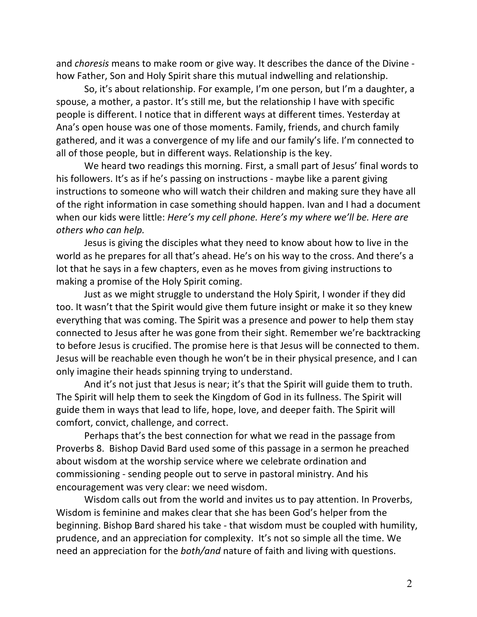and *choresis* means to make room or give way. It describes the dance of the Divine how Father, Son and Holy Spirit share this mutual indwelling and relationship.

So, it's about relationship. For example, I'm one person, but I'm a daughter, a spouse, a mother, a pastor. It's still me, but the relationship I have with specific people is different. I notice that in different ways at different times. Yesterday at Ana's open house was one of those moments. Family, friends, and church family gathered, and it was a convergence of my life and our family's life. I'm connected to all of those people, but in different ways. Relationship is the key.

We heard two readings this morning. First, a small part of Jesus' final words to his followers. It's as if he's passing on instructions - maybe like a parent giving instructions to someone who will watch their children and making sure they have all of the right information in case something should happen. Ivan and I had a document when our kids were little: *Here's my cell phone. Here's my where we'll be. Here are others who can help.* 

Jesus is giving the disciples what they need to know about how to live in the world as he prepares for all that's ahead. He's on his way to the cross. And there's a lot that he says in a few chapters, even as he moves from giving instructions to making a promise of the Holy Spirit coming.

Just as we might struggle to understand the Holy Spirit, I wonder if they did too. It wasn't that the Spirit would give them future insight or make it so they knew everything that was coming. The Spirit was a presence and power to help them stay connected to Jesus after he was gone from their sight. Remember we're backtracking to before Jesus is crucified. The promise here is that Jesus will be connected to them. Jesus will be reachable even though he won't be in their physical presence, and I can only imagine their heads spinning trying to understand.

And it's not just that Jesus is near; it's that the Spirit will guide them to truth. The Spirit will help them to seek the Kingdom of God in its fullness. The Spirit will guide them in ways that lead to life, hope, love, and deeper faith. The Spirit will comfort, convict, challenge, and correct.

Perhaps that's the best connection for what we read in the passage from Proverbs 8. Bishop David Bard used some of this passage in a sermon he preached about wisdom at the worship service where we celebrate ordination and commissioning - sending people out to serve in pastoral ministry. And his encouragement was very clear: we need wisdom.

Wisdom calls out from the world and invites us to pay attention. In Proverbs, Wisdom is feminine and makes clear that she has been God's helper from the beginning. Bishop Bard shared his take - that wisdom must be coupled with humility, prudence, and an appreciation for complexity. It's not so simple all the time. We need an appreciation for the *both/and* nature of faith and living with questions.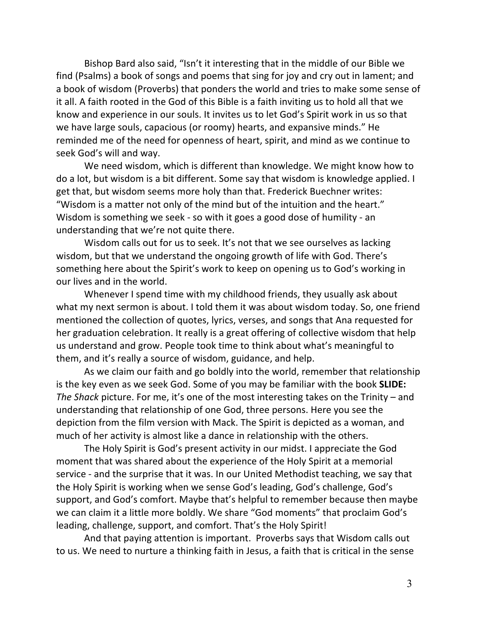Bishop Bard also said, "Isn't it interesting that in the middle of our Bible we find (Psalms) a book of songs and poems that sing for joy and cry out in lament; and a book of wisdom (Proverbs) that ponders the world and tries to make some sense of it all. A faith rooted in the God of this Bible is a faith inviting us to hold all that we know and experience in our souls. It invites us to let God's Spirit work in us so that we have large souls, capacious (or roomy) hearts, and expansive minds." He reminded me of the need for openness of heart, spirit, and mind as we continue to seek God's will and way.

We need wisdom, which is different than knowledge. We might know how to do a lot, but wisdom is a bit different. Some say that wisdom is knowledge applied. I get that, but wisdom seems more holy than that. Frederick Buechner writes: "Wisdom is a matter not only of the mind but of the intuition and the heart." Wisdom is something we seek - so with it goes a good dose of humility - an understanding that we're not quite there.

Wisdom calls out for us to seek. It's not that we see ourselves as lacking wisdom, but that we understand the ongoing growth of life with God. There's something here about the Spirit's work to keep on opening us to God's working in our lives and in the world.

Whenever I spend time with my childhood friends, they usually ask about what my next sermon is about. I told them it was about wisdom today. So, one friend mentioned the collection of quotes, lyrics, verses, and songs that Ana requested for her graduation celebration. It really is a great offering of collective wisdom that help us understand and grow. People took time to think about what's meaningful to them, and it's really a source of wisdom, guidance, and help.

As we claim our faith and go boldly into the world, remember that relationship is the key even as we seek God. Some of you may be familiar with the book **SLIDE:**  *The Shack* picture. For me, it's one of the most interesting takes on the Trinity – and understanding that relationship of one God, three persons. Here you see the depiction from the film version with Mack. The Spirit is depicted as a woman, and much of her activity is almost like a dance in relationship with the others.

The Holy Spirit is God's present activity in our midst. I appreciate the God moment that was shared about the experience of the Holy Spirit at a memorial service - and the surprise that it was. In our United Methodist teaching, we say that the Holy Spirit is working when we sense God's leading, God's challenge, God's support, and God's comfort. Maybe that's helpful to remember because then maybe we can claim it a little more boldly. We share "God moments" that proclaim God's leading, challenge, support, and comfort. That's the Holy Spirit!

And that paying attention is important. Proverbs says that Wisdom calls out to us. We need to nurture a thinking faith in Jesus, a faith that is critical in the sense